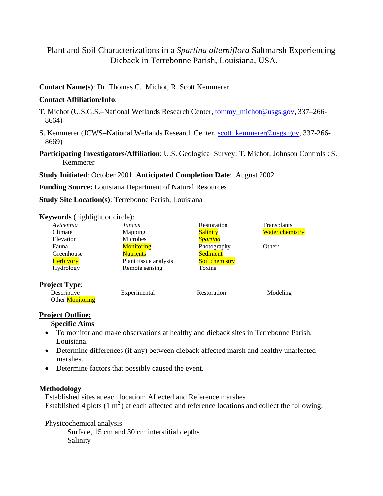# Plant and Soil Characterizations in a *Spartina alterniflora* Saltmarsh Experiencing Dieback in Terrebonne Parish, Louisiana, USA.

### **Contact Name(s)**: Dr. Thomas C. Michot, R. Scott Kemmerer

#### **Contact Affiliation/Info**:

- T. Michot (U.S.G.S.–National Wetlands Research Center, tommy\_michot@usgs.gov, 337–266- 8664)
- S. Kemmerer (JCWS–National Wetlands Research Center, scott\_kemmerer@usgs.gov, 337-266- 8669)
- **Participating Investigators/Affiliation**: U.S. Geological Survey: T. Michot; Johnson Controls : S. Kemmerer

**Study Initiated**: October 2001 **Anticipated Completion Date**: August 2002

**Funding Source:** Louisiana Department of Natural Resources

**Study Site Location(s)**: Terrebonne Parish, Louisiana

#### **Keywords** (highlight or circle):

| Avicennia               | <b>Juncus</b>         | Restoration     | Transplants            |
|-------------------------|-----------------------|-----------------|------------------------|
| Climate                 | Mapping               | <b>Salinity</b> | <b>Water chemistry</b> |
| Elevation               | Microbes              | <b>Spartina</b> |                        |
| Fauna                   | <b>Monitoring</b>     | Photography     | Other:                 |
| Greenhouse              | <b>Nutrients</b>      | Sediment        |                        |
| <b>Herbivory</b>        | Plant tissue analysis | Soil chemistry  |                        |
| Hydrology               | Remote sensing        | Toxins          |                        |
| <b>Project Type:</b>    |                       |                 |                        |
| Descriptive             | Experimental          | Restoration     | Modeling               |
| Other <b>Monitoring</b> |                       |                 |                        |

## **Project Outline:**

**Specific Aims** 

- To monitor and make observations at healthy and dieback sites in Terrebonne Parish, Louisiana.
- Determine differences (if any) between dieback affected marsh and healthy unaffected marshes.
- Determine factors that possibly caused the event.

#### **Methodology**

Established sites at each location: Affected and Reference marshes Established 4 plots  $(1 \text{ m}^2)$  at each affected and reference locations and collect the following:

Physicochemical analysis

 Surface, 15 cm and 30 cm interstitial depths Salinity